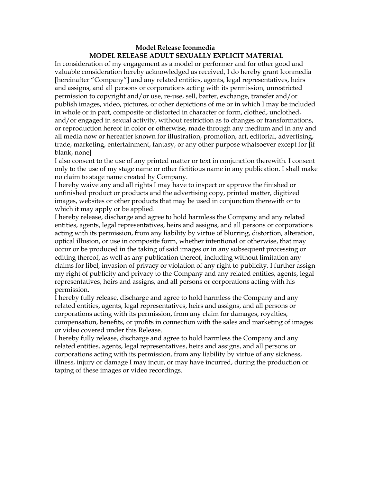## **Model Release Iconmedia MODEL RELEASE ADULT SEXUALLY EXPLICIT MATERIAL**

In consideration of my engagement as a model or performer and for other good and valuable consideration hereby acknowledged as received, I do hereby grant Iconmedia [hereinafter "Company"] and any related entities, agents, legal representatives, heirs and assigns, and all persons or corporations acting with its permission, unrestricted permission to copyright and/or use, re-use, sell, barter, exchange, transfer and/or publish images, video, pictures, or other depictions of me or in which I may be included in whole or in part, composite or distorted in character or form, clothed, unclothed, and/or engaged in sexual activity, without restriction as to changes or transformations, or reproduction hereof in color or otherwise, made through any medium and in any and all media now or hereafter known for illustration, promotion, art, editorial, advertising, trade, marketing, entertainment, fantasy, or any other purpose whatsoever except for [if blank, none]

I also consent to the use of any printed matter or text in conjunction therewith. I consent only to the use of my stage name or other fictitious name in any publication. I shall make no claim to stage name created by Company.

I hereby waive any and all rights I may have to inspect or approve the finished or unfinished product or products and the advertising copy, printed matter, digitized images, websites or other products that may be used in conjunction therewith or to which it may apply or be applied.

I hereby release, discharge and agree to hold harmless the Company and any related entities, agents, legal representatives, heirs and assigns, and all persons or corporations acting with its permission, from any liability by virtue of blurring, distortion, alteration, optical illusion, or use in composite form, whether intentional or otherwise, that may occur or be produced in the taking of said images or in any subsequent processing or editing thereof, as well as any publication thereof, including without limitation any claims for libel, invasion of privacy or violation of any right to publicity. I further assign my right of publicity and privacy to the Company and any related entities, agents, legal representatives, heirs and assigns, and all persons or corporations acting with his permission.

I hereby fully release, discharge and agree to hold harmless the Company and any related entities, agents, legal representatives, heirs and assigns, and all persons or corporations acting with its permission, from any claim for damages, royalties, compensation, benefits, or profits in connection with the sales and marketing of images or video covered under this Release.

I hereby fully release, discharge and agree to hold harmless the Company and any related entities, agents, legal representatives, heirs and assigns, and all persons or corporations acting with its permission, from any liability by virtue of any sickness, illness, injury or damage I may incur, or may have incurred, during the production or taping of these images or video recordings.